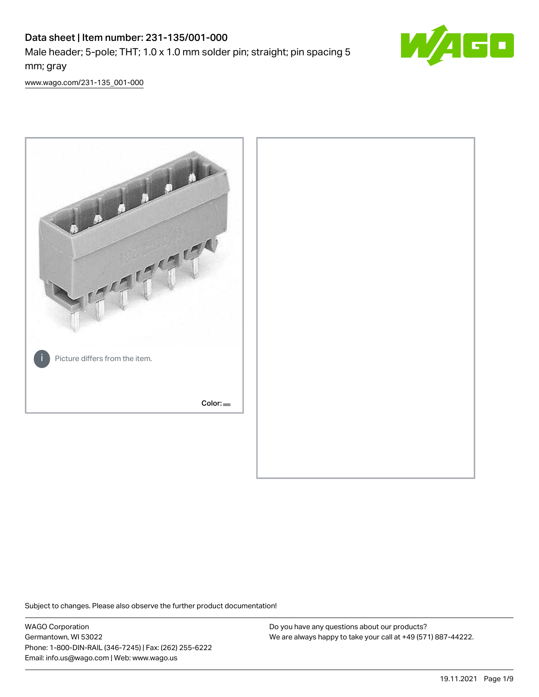# Data sheet | Item number: 231-135/001-000 Male header; 5-pole; THT; 1.0 x 1.0 mm solder pin; straight; pin spacing 5 mm; gray



[www.wago.com/231-135\\_001-000](http://www.wago.com/231-135_001-000)



Subject to changes. Please also observe the further product documentation!

WAGO Corporation Germantown, WI 53022 Phone: 1-800-DIN-RAIL (346-7245) | Fax: (262) 255-6222 Email: info.us@wago.com | Web: www.wago.us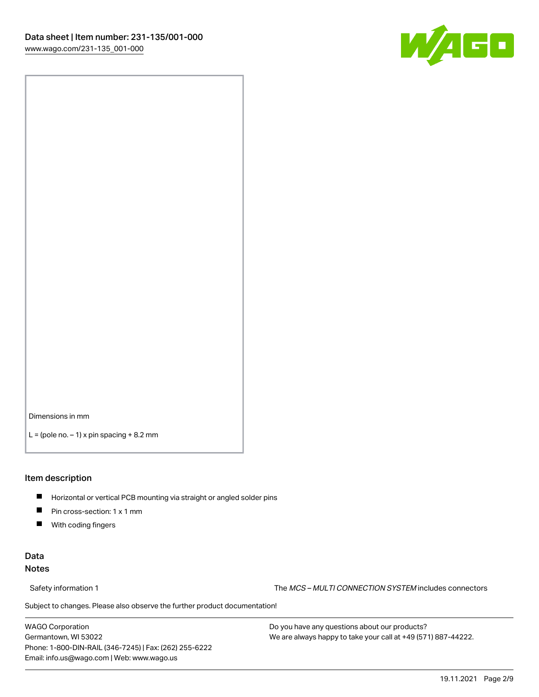

Dimensions in mm

 $L =$  (pole no.  $-1$ ) x pin spacing  $+8.2$  mm

#### Item description

- **Horizontal or vertical PCB mounting via straight or angled solder pins**
- **Pin cross-section: 1 x 1 mm**
- $\blacksquare$ With coding fingers

## Data Notes

Safety information 1 The MCS – MULTI CONNECTION SYSTEM includes connectors

Subject to changes. Please also observe the further product documentation!  $\nu$ 

WAGO Corporation Germantown, WI 53022 Phone: 1-800-DIN-RAIL (346-7245) | Fax: (262) 255-6222 Email: info.us@wago.com | Web: www.wago.us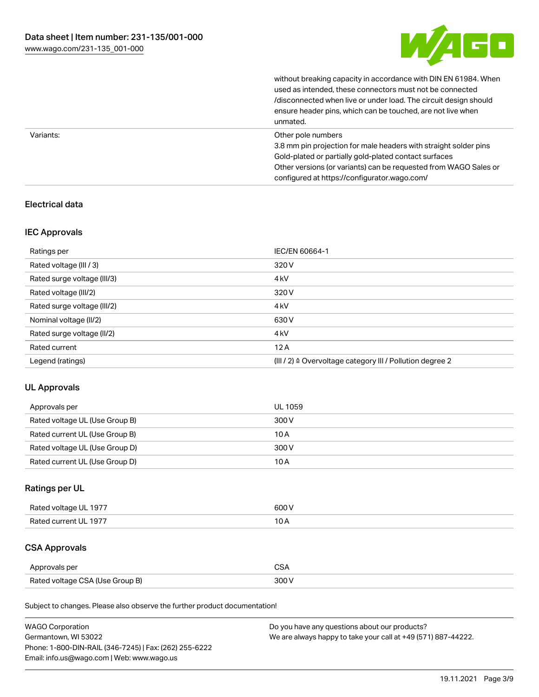

|           | without breaking capacity in accordance with DIN EN 61984. When<br>used as intended, these connectors must not be connected<br>/disconnected when live or under load. The circuit design should<br>ensure header pins, which can be touched, are not live when<br>unmated. |
|-----------|----------------------------------------------------------------------------------------------------------------------------------------------------------------------------------------------------------------------------------------------------------------------------|
| Variants: | Other pole numbers<br>3.8 mm pin projection for male headers with straight solder pins<br>Gold-plated or partially gold-plated contact surfaces<br>Other versions (or variants) can be requested from WAGO Sales or<br>configured at https://configurator.wago.com/        |

# Electrical data

## IEC Approvals

| Ratings per                 | IEC/EN 60664-1                                                        |
|-----------------------------|-----------------------------------------------------------------------|
| Rated voltage (III / 3)     | 320 V                                                                 |
| Rated surge voltage (III/3) | 4 <sub>k</sub> V                                                      |
| Rated voltage (III/2)       | 320 V                                                                 |
| Rated surge voltage (III/2) | 4 <sub>k</sub> V                                                      |
| Nominal voltage (II/2)      | 630 V                                                                 |
| Rated surge voltage (II/2)  | 4 <sub>k</sub> V                                                      |
| Rated current               | 12A                                                                   |
| Legend (ratings)            | $(III / 2)$ $\triangle$ Overvoltage category III / Pollution degree 2 |

# UL Approvals

| Approvals per                  | UL 1059 |
|--------------------------------|---------|
| Rated voltage UL (Use Group B) | 300 V   |
| Rated current UL (Use Group B) | 10 A    |
| Rated voltage UL (Use Group D) | 300 V   |
| Rated current UL (Use Group D) | 10 A    |

# Ratings per UL

| Rated voltage UL 1977 | 600 V |
|-----------------------|-------|
| Rated current UL 1977 |       |

# CSA Approvals

| Approvals per                   | ~~    |
|---------------------------------|-------|
| Rated voltage CSA (Use Group B) | 3UU 1 |

Subject to changes. Please also observe the further product documentation!

| <b>WAGO Corporation</b>                                | Do you have any questions about our products?                 |
|--------------------------------------------------------|---------------------------------------------------------------|
| Germantown, WI 53022                                   | We are always happy to take your call at +49 (571) 887-44222. |
| Phone: 1-800-DIN-RAIL (346-7245)   Fax: (262) 255-6222 |                                                               |
| Email: info.us@wago.com   Web: www.wago.us             |                                                               |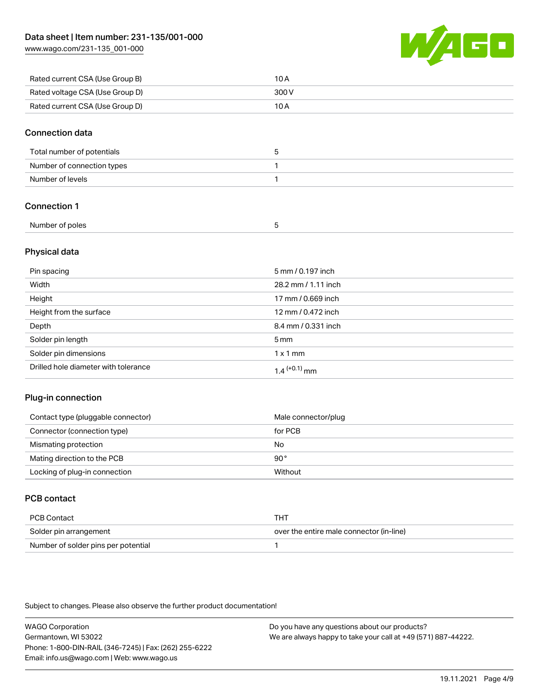[www.wago.com/231-135\\_001-000](http://www.wago.com/231-135_001-000)



| Rated current CSA (Use Group B) | 10 A  |
|---------------------------------|-------|
| Rated voltage CSA (Use Group D) | 300 V |
| Rated current CSA (Use Group D) | 10 A  |

#### Connection data

| Total number of potentials | w |
|----------------------------|---|
| Number of connection types |   |
| Number of levels           |   |

# Connection 1

| Number of poles |  |
|-----------------|--|
|                 |  |

# Physical data

| Pin spacing                          | 5 mm / 0.197 inch          |
|--------------------------------------|----------------------------|
| Width                                | 28.2 mm / 1.11 inch        |
| Height                               | 17 mm / 0.669 inch         |
| Height from the surface              | 12 mm / 0.472 inch         |
| Depth                                | 8.4 mm / 0.331 inch        |
| Solder pin length                    | 5 <sub>mm</sub>            |
| Solder pin dimensions                | $1 \times 1$ mm            |
| Drilled hole diameter with tolerance | $1.4$ <sup>(+0.1)</sup> mm |

## Plug-in connection

| Contact type (pluggable connector) | Male connector/plug |
|------------------------------------|---------------------|
| Connector (connection type)        | for PCB             |
| Mismating protection               | No                  |
| Mating direction to the PCB        | 90°                 |
| Locking of plug-in connection      | Without             |

# PCB contact

| PCB Contact                         | тнт                                      |
|-------------------------------------|------------------------------------------|
| Solder pin arrangement              | over the entire male connector (in-line) |
| Number of solder pins per potential |                                          |

Subject to changes. Please also observe the further product documentation!

WAGO Corporation Germantown, WI 53022 Phone: 1-800-DIN-RAIL (346-7245) | Fax: (262) 255-6222 Email: info.us@wago.com | Web: www.wago.us Do you have any questions about our products? We are always happy to take your call at +49 (571) 887-44222.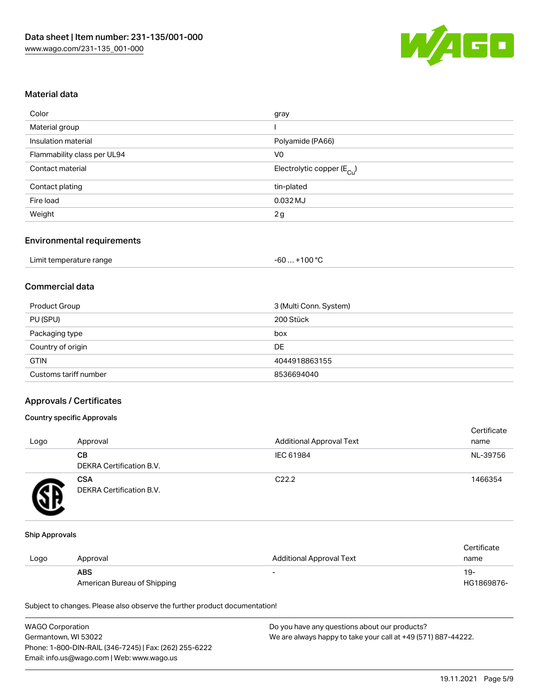

#### Material data

| Color                       | gray                                   |
|-----------------------------|----------------------------------------|
| Material group              |                                        |
| Insulation material         | Polyamide (PA66)                       |
| Flammability class per UL94 | V <sub>0</sub>                         |
| Contact material            | Electrolytic copper (E <sub>Cu</sub> ) |
| Contact plating             | tin-plated                             |
| Fire load                   | $0.032$ MJ                             |
| Weight                      | 2g                                     |
|                             |                                        |

## Environmental requirements

| Limit temperature range | . +100 °C<br>-60 |
|-------------------------|------------------|
|-------------------------|------------------|

# Commercial data

| Product Group         | 3 (Multi Conn. System) |
|-----------------------|------------------------|
| PU (SPU)              | 200 Stück              |
| Packaging type        | box                    |
| Country of origin     | DE                     |
| <b>GTIN</b>           | 4044918863155          |
| Customs tariff number | 8536694040             |

#### Approvals / Certificates

#### Country specific Approvals

| Logo | Approval                               | <b>Additional Approval Text</b> | Certificate<br>name |
|------|----------------------------------------|---------------------------------|---------------------|
|      | CВ<br>DEKRA Certification B.V.         | IEC 61984                       | NL-39756            |
|      | <b>CSA</b><br>DEKRA Certification B.V. | C <sub>22.2</sub>               | 1466354             |

#### Ship Approvals

|      |                             |                          | Certificate |
|------|-----------------------------|--------------------------|-------------|
| Logo | Approval                    | Additional Approval Text | name        |
|      | <b>ABS</b>                  | $\overline{\phantom{0}}$ | 19-         |
|      | American Bureau of Shipping |                          | HG1869876-  |

Subject to changes. Please also observe the further product documentation!

| <b>WAGO Corporation</b>                                | Do you have any questions about our products?                 |
|--------------------------------------------------------|---------------------------------------------------------------|
| Germantown, WI 53022                                   | We are always happy to take your call at +49 (571) 887-44222. |
| Phone: 1-800-DIN-RAIL (346-7245)   Fax: (262) 255-6222 |                                                               |
| Email: info.us@wago.com   Web: www.wago.us             |                                                               |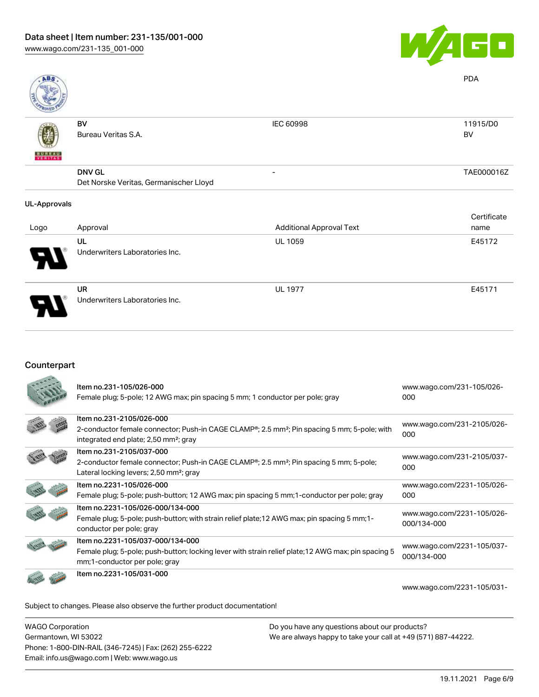

| <b>ABS</b>          |                                        |                                 | <b>PDA</b>     |
|---------------------|----------------------------------------|---------------------------------|----------------|
| <b>BUREAU</b>       | BV<br>Bureau Veritas S.A.              | IEC 60998                       | 11915/D0<br>BV |
|                     | <b>DNV GL</b>                          | -                               | TAE000016Z     |
|                     | Det Norske Veritas, Germanischer Lloyd |                                 |                |
| <b>UL-Approvals</b> |                                        |                                 |                |
|                     |                                        |                                 | Certificate    |
| Logo                | Approval                               | <b>Additional Approval Text</b> | name           |
|                     | UL                                     | <b>UL 1059</b>                  | E45172         |
|                     | Underwriters Laboratories Inc.         |                                 |                |

UR Underwriters Laboratories Inc. UL 1977 E45171

#### Counterpart

| Item no.231-105/026-000<br>Female plug; 5-pole; 12 AWG max; pin spacing 5 mm; 1 conductor per pole; gray                                                                                              | www.wago.com/231-105/026-<br>000          |
|-------------------------------------------------------------------------------------------------------------------------------------------------------------------------------------------------------|-------------------------------------------|
| Item no.231-2105/026-000<br>2-conductor female connector; Push-in CAGE CLAMP <sup>®</sup> ; 2.5 mm <sup>2</sup> ; Pin spacing 5 mm; 5-pole; with<br>integrated end plate; 2,50 mm <sup>2</sup> ; gray | www.wago.com/231-2105/026-<br>000         |
| Item no.231-2105/037-000<br>2-conductor female connector; Push-in CAGE CLAMP®; 2.5 mm <sup>2</sup> ; Pin spacing 5 mm; 5-pole;<br>Lateral locking levers; 2,50 mm <sup>2</sup> ; gray                 | www.wago.com/231-2105/037-<br>000         |
| Item no.2231-105/026-000<br>Female plug; 5-pole; push-button; 12 AWG max; pin spacing 5 mm; 1-conductor per pole; gray                                                                                | www.wago.com/2231-105/026-<br>000         |
| Item no.2231-105/026-000/134-000<br>Female plug; 5-pole; push-button; with strain relief plate; 12 AWG max; pin spacing 5 mm; 1-<br>conductor per pole; gray                                          | www.wago.com/2231-105/026-<br>000/134-000 |
| Item no.2231-105/037-000/134-000<br>Female plug; 5-pole; push-button; locking lever with strain relief plate; 12 AWG max; pin spacing 5<br>mm;1-conductor per pole; gray                              | www.wago.com/2231-105/037-<br>000/134-000 |
| Item no.2231-105/031-000                                                                                                                                                                              | www.wago.com/2231-105/031-                |

Subject to changes. Please also observe the further product documentation!

WAGO Corporation Germantown, WI 53022 Phone: 1-800-DIN-RAIL (346-7245) | Fax: (262) 255-6222 Email: info.us@wago.com | Web: www.wago.us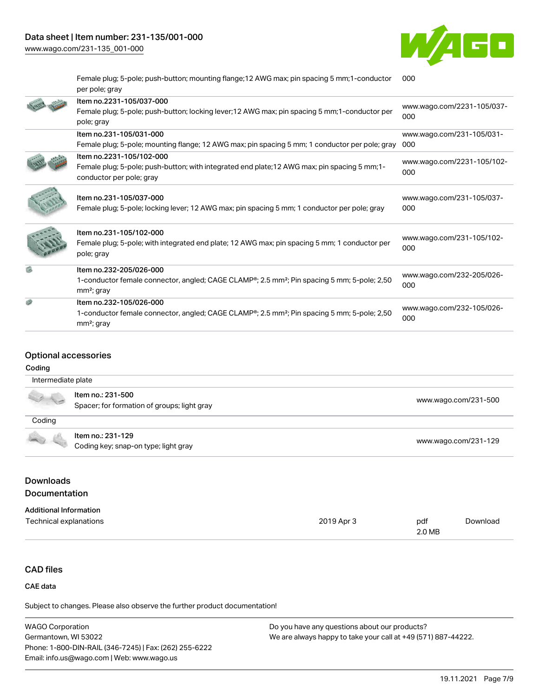# Data sheet | Item number: 231-135/001-000

[www.wago.com/231-135\\_001-000](http://www.wago.com/231-135_001-000)



Female plug; 5-pole; push-button; mounting flange;12 AWG max; pin spacing 5 mm;1-conductor per pole; gray [000](https://www.wago.com/2231-105/031-000)

| Item no.2231-105/037-000<br>Female plug; 5-pole; push-button; locking lever; 12 AWG max; pin spacing 5 mm; 1-conductor per<br>pole; gray                        | www.wago.com/2231-105/037-<br>000 |
|-----------------------------------------------------------------------------------------------------------------------------------------------------------------|-----------------------------------|
| Item no.231-105/031-000<br>Female plug; 5-pole; mounting flange; 12 AWG max; pin spacing 5 mm; 1 conductor per pole; gray                                       | www.wago.com/231-105/031-<br>000  |
| Item no.2231-105/102-000<br>Female plug; 5-pole; push-button; with integrated end plate; 12 AWG max; pin spacing 5 mm; 1-<br>conductor per pole; gray           | www.wago.com/2231-105/102-<br>000 |
| Item no.231-105/037-000<br>Female plug; 5-pole; locking lever; 12 AWG max; pin spacing 5 mm; 1 conductor per pole; gray                                         | www.wago.com/231-105/037-<br>000  |
| Item no.231-105/102-000<br>Female plug; 5-pole; with integrated end plate; 12 AWG max; pin spacing 5 mm; 1 conductor per<br>pole; gray                          | www.wago.com/231-105/102-<br>000  |
| Item no.232-205/026-000<br>1-conductor female connector, angled; CAGE CLAMP <sup>®</sup> ; 2.5 mm <sup>2</sup> ; Pin spacing 5 mm; 5-pole; 2,50<br>$mm2$ ; gray | www.wago.com/232-205/026-<br>000  |
| Item no.232-105/026-000<br>1-conductor female connector, angled; CAGE CLAMP®; 2.5 mm <sup>2</sup> ; Pin spacing 5 mm; 5-pole; 2,50<br>$mm2$ ; gray              | www.wago.com/232-105/026-<br>000  |
|                                                                                                                                                                 |                                   |

# Optional accessories

#### Coding

| Intermediate plate                                                                                                                                                                                                                                                                                                                                  |                                                                  |                      |
|-----------------------------------------------------------------------------------------------------------------------------------------------------------------------------------------------------------------------------------------------------------------------------------------------------------------------------------------------------|------------------------------------------------------------------|----------------------|
| $\begin{picture}(20,5) \put(0,0){\line(1,0){15}} \put(15,0){\line(1,0){15}} \put(15,0){\line(1,0){15}} \put(15,0){\line(1,0){15}} \put(15,0){\line(1,0){15}} \put(15,0){\line(1,0){15}} \put(15,0){\line(1,0){15}} \put(15,0){\line(1,0){15}} \put(15,0){\line(1,0){15}} \put(15,0){\line(1,0){15}} \put(15,0){\line(1,0){15}} \put(15,0){\line(1,$ | ltem no.: 231-500<br>Spacer; for formation of groups; light gray | www.wago.com/231-500 |
| Coding                                                                                                                                                                                                                                                                                                                                              |                                                                  |                      |
|                                                                                                                                                                                                                                                                                                                                                     | Item no.: 231-129<br>Coding key; snap-on type; light gray        | www.wago.com/231-129 |

# **Downloads Documentation**

| <b>Additional Information</b> |            |        |          |
|-------------------------------|------------|--------|----------|
| Technical explanations        | 2019 Apr 3 | pdf    | Download |
|                               |            | 2.0 MB |          |

# CAD files

## CAE data

Subject to changes. Please also observe the further product documentation!

| <b>WAGO Corporation</b>                                | Do you have any questions about our products?                 |
|--------------------------------------------------------|---------------------------------------------------------------|
| Germantown, WI 53022                                   | We are always happy to take your call at +49 (571) 887-44222. |
| Phone: 1-800-DIN-RAIL (346-7245)   Fax: (262) 255-6222 |                                                               |
| Email: info.us@wago.com   Web: www.wago.us             |                                                               |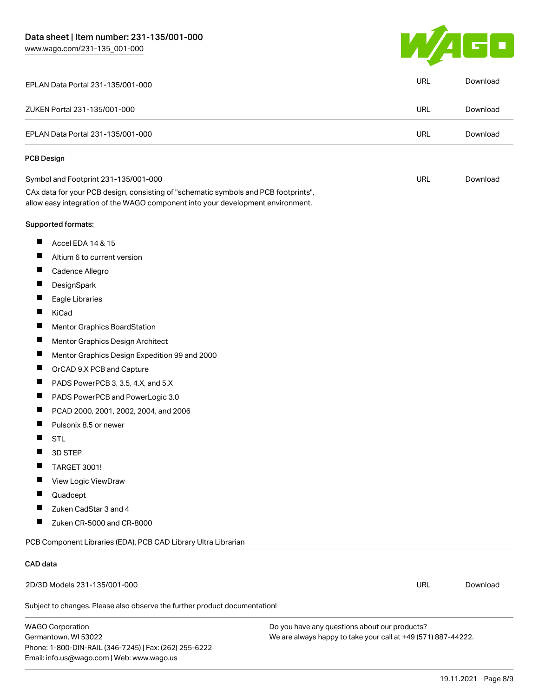W/AGO

| EPLAN Data Portal 231-135/001-000                                                                                                                                      | <b>URL</b> | Download |
|------------------------------------------------------------------------------------------------------------------------------------------------------------------------|------------|----------|
| ZUKEN Portal 231-135/001-000                                                                                                                                           | <b>URL</b> | Download |
| EPLAN Data Portal 231-135/001-000                                                                                                                                      | <b>URL</b> | Download |
| <b>PCB Design</b>                                                                                                                                                      |            |          |
| Symbol and Footprint 231-135/001-000                                                                                                                                   | <b>URL</b> | Download |
| CAx data for your PCB design, consisting of "schematic symbols and PCB footprints",<br>allow easy integration of the WAGO component into your development environment. |            |          |
| Supported formats:                                                                                                                                                     |            |          |
| П<br>Accel EDA 14 & 15                                                                                                                                                 |            |          |
| $\blacksquare$<br>Altium 6 to current version                                                                                                                          |            |          |
| ш<br>Cadence Allegro                                                                                                                                                   |            |          |
| DesignSpark                                                                                                                                                            |            |          |
| ш<br>Eagle Libraries                                                                                                                                                   |            |          |
| ш<br>KiCad                                                                                                                                                             |            |          |
| П<br>Mentor Graphics BoardStation                                                                                                                                      |            |          |
| ш<br>Mentor Graphics Design Architect                                                                                                                                  |            |          |
| Ш<br>Mentor Graphics Design Expedition 99 and 2000                                                                                                                     |            |          |
| $\blacksquare$<br>OrCAD 9.X PCB and Capture                                                                                                                            |            |          |
| Ц<br>PADS PowerPCB 3, 3.5, 4.X, and 5.X                                                                                                                                |            |          |
| ш<br>PADS PowerPCB and PowerLogic 3.0                                                                                                                                  |            |          |
| $\blacksquare$<br>PCAD 2000, 2001, 2002, 2004, and 2006                                                                                                                |            |          |
| Pulsonix 8.5 or newer<br>ш                                                                                                                                             |            |          |
| <b>STL</b>                                                                                                                                                             |            |          |
| 3D STEP                                                                                                                                                                |            |          |
| ш<br>TARGET 3001!                                                                                                                                                      |            |          |
| View Logic ViewDraw                                                                                                                                                    |            |          |
| Quadcept                                                                                                                                                               |            |          |
| Zuken CadStar 3 and 4<br>ш                                                                                                                                             |            |          |
| Zuken CR-5000 and CR-8000                                                                                                                                              |            |          |
| PCB Component Libraries (EDA), PCB CAD Library Ultra Librarian                                                                                                         |            |          |
| CAD data                                                                                                                                                               |            |          |
| 2D/3D Models 231-135/001-000                                                                                                                                           | URL        | Download |
| Subject to changes. Please also observe the further product documentation!                                                                                             |            |          |

WAGO Corporation Germantown, WI 53022 Phone: 1-800-DIN-RAIL (346-7245) | Fax: (262) 255-6222 Email: info.us@wago.com | Web: www.wago.us